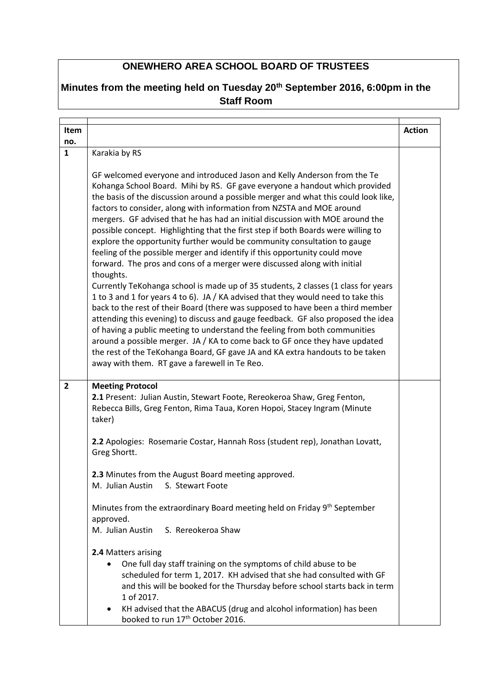## **ONEWHERO AREA SCHOOL BOARD OF TRUSTEES**

## **Minutes from the meeting held on Tuesday 20th September 2016, 6:00pm in the Staff Room**

| Item           |                                                                                                                                                                                                                                                                                                                                                                                                                                                                                                                                                                                                                                                                                                                                                                                                                                                                                                                                                                                                                                                                                                                                                                                                                                                                                                                                                                                                   | <b>Action</b> |
|----------------|---------------------------------------------------------------------------------------------------------------------------------------------------------------------------------------------------------------------------------------------------------------------------------------------------------------------------------------------------------------------------------------------------------------------------------------------------------------------------------------------------------------------------------------------------------------------------------------------------------------------------------------------------------------------------------------------------------------------------------------------------------------------------------------------------------------------------------------------------------------------------------------------------------------------------------------------------------------------------------------------------------------------------------------------------------------------------------------------------------------------------------------------------------------------------------------------------------------------------------------------------------------------------------------------------------------------------------------------------------------------------------------------------|---------------|
| no.            |                                                                                                                                                                                                                                                                                                                                                                                                                                                                                                                                                                                                                                                                                                                                                                                                                                                                                                                                                                                                                                                                                                                                                                                                                                                                                                                                                                                                   |               |
| $\mathbf{1}$   | Karakia by RS                                                                                                                                                                                                                                                                                                                                                                                                                                                                                                                                                                                                                                                                                                                                                                                                                                                                                                                                                                                                                                                                                                                                                                                                                                                                                                                                                                                     |               |
|                | GF welcomed everyone and introduced Jason and Kelly Anderson from the Te<br>Kohanga School Board. Mihi by RS. GF gave everyone a handout which provided<br>the basis of the discussion around a possible merger and what this could look like,<br>factors to consider, along with information from NZSTA and MOE around<br>mergers. GF advised that he has had an initial discussion with MOE around the<br>possible concept. Highlighting that the first step if both Boards were willing to<br>explore the opportunity further would be community consultation to gauge<br>feeling of the possible merger and identify if this opportunity could move<br>forward. The pros and cons of a merger were discussed along with initial<br>thoughts.<br>Currently TeKohanga school is made up of 35 students, 2 classes (1 class for years<br>1 to 3 and 1 for years 4 to 6). JA / KA advised that they would need to take this<br>back to the rest of their Board (there was supposed to have been a third member<br>attending this evening) to discuss and gauge feedback. GF also proposed the idea<br>of having a public meeting to understand the feeling from both communities<br>around a possible merger. JA / KA to come back to GF once they have updated<br>the rest of the TeKohanga Board, GF gave JA and KA extra handouts to be taken<br>away with them. RT gave a farewell in Te Reo. |               |
| $\overline{2}$ | <b>Meeting Protocol</b><br>2.1 Present: Julian Austin, Stewart Foote, Rereokeroa Shaw, Greg Fenton,<br>Rebecca Bills, Greg Fenton, Rima Taua, Koren Hopoi, Stacey Ingram (Minute<br>taker)                                                                                                                                                                                                                                                                                                                                                                                                                                                                                                                                                                                                                                                                                                                                                                                                                                                                                                                                                                                                                                                                                                                                                                                                        |               |
|                | 2.2 Apologies: Rosemarie Costar, Hannah Ross (student rep), Jonathan Lovatt,<br>Greg Shortt.                                                                                                                                                                                                                                                                                                                                                                                                                                                                                                                                                                                                                                                                                                                                                                                                                                                                                                                                                                                                                                                                                                                                                                                                                                                                                                      |               |
|                | 2.3 Minutes from the August Board meeting approved.<br>M. Julian Austin S. Stewart Foote                                                                                                                                                                                                                                                                                                                                                                                                                                                                                                                                                                                                                                                                                                                                                                                                                                                                                                                                                                                                                                                                                                                                                                                                                                                                                                          |               |
|                | Minutes from the extraordinary Board meeting held on Friday 9th September<br>approved.<br>S. Rereokeroa Shaw<br>M. Julian Austin                                                                                                                                                                                                                                                                                                                                                                                                                                                                                                                                                                                                                                                                                                                                                                                                                                                                                                                                                                                                                                                                                                                                                                                                                                                                  |               |
|                | 2.4 Matters arising<br>One full day staff training on the symptoms of child abuse to be<br>scheduled for term 1, 2017. KH advised that she had consulted with GF<br>and this will be booked for the Thursday before school starts back in term<br>1 of 2017.<br>KH advised that the ABACUS (drug and alcohol information) has been<br>$\bullet$<br>booked to run 17 <sup>th</sup> October 2016.                                                                                                                                                                                                                                                                                                                                                                                                                                                                                                                                                                                                                                                                                                                                                                                                                                                                                                                                                                                                   |               |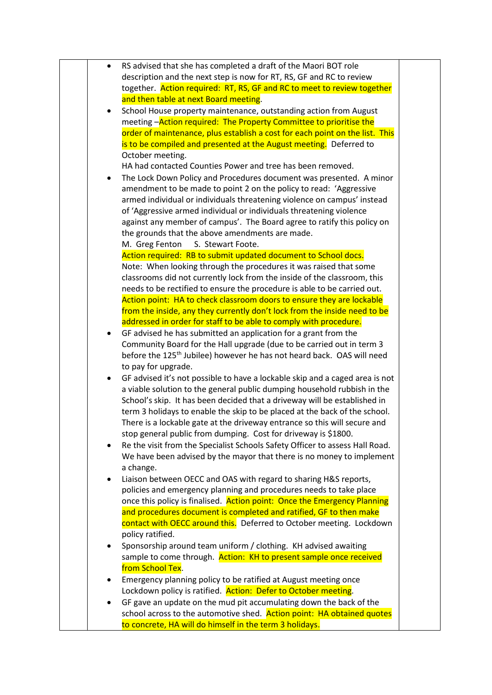| $\bullet$ | RS advised that she has completed a draft of the Maori BOT role                                                                                |  |
|-----------|------------------------------------------------------------------------------------------------------------------------------------------------|--|
|           | description and the next step is now for RT, RS, GF and RC to review                                                                           |  |
|           | together. Action required: RT, RS, GF and RC to meet to review together                                                                        |  |
|           | and then table at next Board meeting.                                                                                                          |  |
| ٠         | School House property maintenance, outstanding action from August                                                                              |  |
|           | meeting - Action required: The Property Committee to prioritise the                                                                            |  |
|           | order of maintenance, plus establish a cost for each point on the list. This                                                                   |  |
|           | is to be compiled and presented at the August meeting. Deferred to                                                                             |  |
|           | October meeting.                                                                                                                               |  |
|           | HA had contacted Counties Power and tree has been removed.                                                                                     |  |
| ٠         | The Lock Down Policy and Procedures document was presented. A minor                                                                            |  |
|           | amendment to be made to point 2 on the policy to read: 'Aggressive                                                                             |  |
|           | armed individual or individuals threatening violence on campus' instead                                                                        |  |
|           | of 'Aggressive armed individual or individuals threatening violence                                                                            |  |
|           | against any member of campus'. The Board agree to ratify this policy on                                                                        |  |
|           | the grounds that the above amendments are made.                                                                                                |  |
|           | S. Stewart Foote.<br>M. Greg Fenton                                                                                                            |  |
|           | Action required: RB to submit updated document to School docs.                                                                                 |  |
|           | Note: When looking through the procedures it was raised that some                                                                              |  |
|           | classrooms did not currently lock from the inside of the classroom, this                                                                       |  |
|           | needs to be rectified to ensure the procedure is able to be carried out.                                                                       |  |
|           | Action point: HA to check classroom doors to ensure they are lockable                                                                          |  |
|           | from the inside, any they currently don't lock from the inside need to be                                                                      |  |
|           | addressed in order for staff to be able to comply with procedure.                                                                              |  |
| $\bullet$ | GF advised he has submitted an application for a grant from the                                                                                |  |
|           | Community Board for the Hall upgrade (due to be carried out in term 3                                                                          |  |
|           | before the 125 <sup>th</sup> Jubilee) however he has not heard back. OAS will need                                                             |  |
|           | to pay for upgrade.                                                                                                                            |  |
| $\bullet$ | GF advised it's not possible to have a lockable skip and a caged area is not                                                                   |  |
|           | a viable solution to the general public dumping household rubbish in the                                                                       |  |
|           | School's skip. It has been decided that a driveway will be established in                                                                      |  |
|           | term 3 holidays to enable the skip to be placed at the back of the school.                                                                     |  |
|           | There is a lockable gate at the driveway entrance so this will secure and                                                                      |  |
|           | stop general public from dumping. Cost for driveway is \$1800.                                                                                 |  |
| ٠         | Re the visit from the Specialist Schools Safety Officer to assess Hall Road.                                                                   |  |
|           | We have been advised by the mayor that there is no money to implement                                                                          |  |
|           | a change.                                                                                                                                      |  |
| $\bullet$ | Liaison between OECC and OAS with regard to sharing H&S reports,<br>policies and emergency planning and procedures needs to take place         |  |
|           |                                                                                                                                                |  |
|           | once this policy is finalised. Action point: Once the Emergency Planning<br>and procedures document is completed and ratified, GF to then make |  |
|           | contact with OECC around this. Deferred to October meeting. Lockdown                                                                           |  |
|           | policy ratified.                                                                                                                               |  |
| $\bullet$ | Sponsorship around team uniform / clothing. KH advised awaiting                                                                                |  |
|           | sample to come through. Action: KH to present sample once received                                                                             |  |
|           | from School Tex.                                                                                                                               |  |
| ٠         | Emergency planning policy to be ratified at August meeting once                                                                                |  |
|           | Lockdown policy is ratified. Action: Defer to October meeting.                                                                                 |  |
|           | GF gave an update on the mud pit accumulating down the back of the                                                                             |  |
|           | school across to the automotive shed. Action point: HA obtained quotes                                                                         |  |
|           | to concrete, HA will do himself in the term 3 holidays.                                                                                        |  |
|           |                                                                                                                                                |  |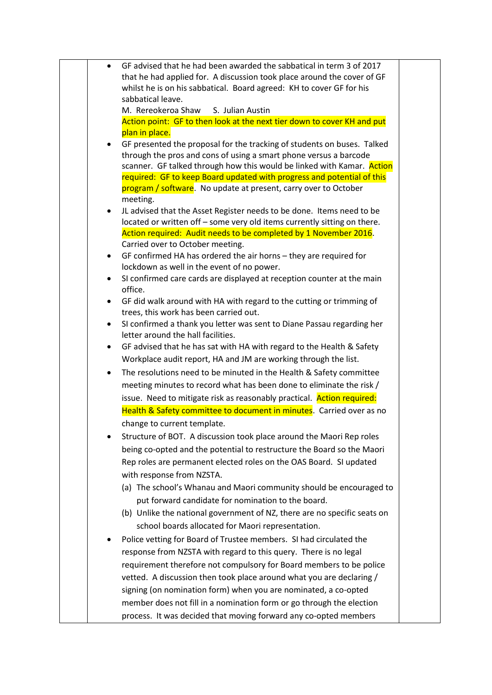| $\bullet$ | GF advised that he had been awarded the sabbatical in term 3 of 2017                                                                              |
|-----------|---------------------------------------------------------------------------------------------------------------------------------------------------|
|           | that he had applied for. A discussion took place around the cover of GF                                                                           |
|           | whilst he is on his sabbatical. Board agreed: KH to cover GF for his                                                                              |
|           | sabbatical leave.                                                                                                                                 |
|           | M. Rereokeroa Shaw<br>S. Julian Austin                                                                                                            |
|           | Action point: GF to then look at the next tier down to cover KH and put<br>plan in place.                                                         |
| $\bullet$ | GF presented the proposal for the tracking of students on buses. Talked                                                                           |
|           | through the pros and cons of using a smart phone versus a barcode                                                                                 |
|           | scanner. GF talked through how this would be linked with Kamar. Action                                                                            |
|           | required: GF to keep Board updated with progress and potential of this                                                                            |
|           | program / software. No update at present, carry over to October                                                                                   |
|           | meeting.                                                                                                                                          |
| $\bullet$ | JL advised that the Asset Register needs to be done. Items need to be<br>located or written off - some very old items currently sitting on there. |
|           | Action required: Audit needs to be completed by 1 November 2016.                                                                                  |
|           | Carried over to October meeting.                                                                                                                  |
| $\bullet$ | GF confirmed HA has ordered the air horns - they are required for                                                                                 |
|           | lockdown as well in the event of no power.                                                                                                        |
| $\bullet$ | SI confirmed care cards are displayed at reception counter at the main<br>office.                                                                 |
| $\bullet$ | GF did walk around with HA with regard to the cutting or trimming of<br>trees, this work has been carried out.                                    |
| $\bullet$ | SI confirmed a thank you letter was sent to Diane Passau regarding her<br>letter around the hall facilities.                                      |
| $\bullet$ | GF advised that he has sat with HA with regard to the Health & Safety                                                                             |
|           | Workplace audit report, HA and JM are working through the list.                                                                                   |
| $\bullet$ | The resolutions need to be minuted in the Health & Safety committee                                                                               |
|           | meeting minutes to record what has been done to eliminate the risk /                                                                              |
|           | issue. Need to mitigate risk as reasonably practical. Action required:                                                                            |
|           | Health & Safety committee to document in minutes. Carried over as no                                                                              |
|           | change to current template.                                                                                                                       |
|           | Structure of BOT. A discussion took place around the Maori Rep roles                                                                              |
|           | being co-opted and the potential to restructure the Board so the Maori                                                                            |
|           | Rep roles are permanent elected roles on the OAS Board. SI updated                                                                                |
|           | with response from NZSTA.                                                                                                                         |
|           | (a) The school's Whanau and Maori community should be encouraged to                                                                               |
|           | put forward candidate for nomination to the board.                                                                                                |
|           | (b) Unlike the national government of NZ, there are no specific seats on                                                                          |
|           | school boards allocated for Maori representation.                                                                                                 |
|           | Police vetting for Board of Trustee members. SI had circulated the                                                                                |
|           | response from NZSTA with regard to this query. There is no legal                                                                                  |
|           | requirement therefore not compulsory for Board members to be police                                                                               |
|           | vetted. A discussion then took place around what you are declaring /                                                                              |
|           | signing (on nomination form) when you are nominated, a co-opted                                                                                   |
|           | member does not fill in a nomination form or go through the election                                                                              |
|           | process. It was decided that moving forward any co-opted members                                                                                  |
|           |                                                                                                                                                   |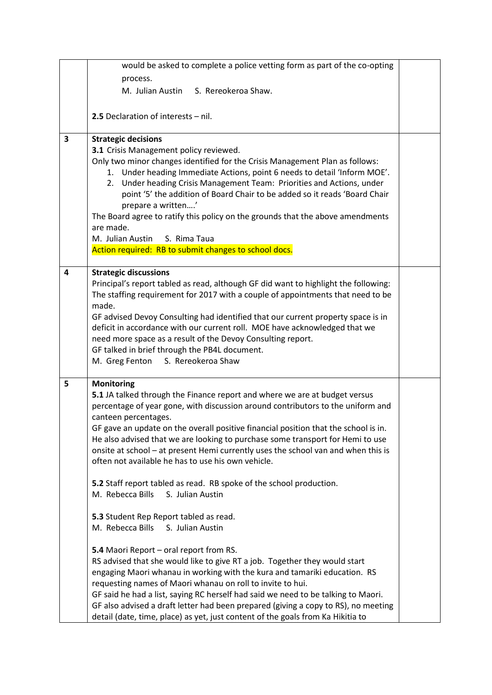|   | would be asked to complete a police vetting form as part of the co-opting                                                               |  |
|---|-----------------------------------------------------------------------------------------------------------------------------------------|--|
|   | process.                                                                                                                                |  |
|   | M. Julian Austin S. Rereokeroa Shaw.                                                                                                    |  |
|   |                                                                                                                                         |  |
|   | 2.5 Declaration of interests - nil.                                                                                                     |  |
| 3 | <b>Strategic decisions</b>                                                                                                              |  |
|   | 3.1 Crisis Management policy reviewed.                                                                                                  |  |
|   | Only two minor changes identified for the Crisis Management Plan as follows:                                                            |  |
|   | 1. Under heading Immediate Actions, point 6 needs to detail 'Inform MOE'.                                                               |  |
|   | Under heading Crisis Management Team: Priorities and Actions, under<br>2.                                                               |  |
|   | point '5' the addition of Board Chair to be added so it reads 'Board Chair                                                              |  |
|   | prepare a written'                                                                                                                      |  |
|   | The Board agree to ratify this policy on the grounds that the above amendments                                                          |  |
|   | are made.                                                                                                                               |  |
|   | M. Julian Austin<br>S. Rima Taua                                                                                                        |  |
|   | Action required: RB to submit changes to school docs.                                                                                   |  |
| 4 | <b>Strategic discussions</b>                                                                                                            |  |
|   | Principal's report tabled as read, although GF did want to highlight the following:                                                     |  |
|   | The staffing requirement for 2017 with a couple of appointments that need to be                                                         |  |
|   | made.                                                                                                                                   |  |
|   | GF advised Devoy Consulting had identified that our current property space is in                                                        |  |
|   | deficit in accordance with our current roll. MOE have acknowledged that we                                                              |  |
|   | need more space as a result of the Devoy Consulting report.                                                                             |  |
|   | GF talked in brief through the PB4L document.                                                                                           |  |
|   | M. Greg Fenton S. Rereokeroa Shaw                                                                                                       |  |
| 5 | <b>Monitoring</b>                                                                                                                       |  |
|   | 5.1 JA talked through the Finance report and where we are at budget versus                                                              |  |
|   | percentage of year gone, with discussion around contributors to the uniform and                                                         |  |
|   | canteen percentages.                                                                                                                    |  |
|   | GF gave an update on the overall positive financial position that the school is in.                                                     |  |
|   | He also advised that we are looking to purchase some transport for Hemi to use                                                          |  |
|   | onsite at school - at present Hemi currently uses the school van and when this is<br>often not available he has to use his own vehicle. |  |
|   |                                                                                                                                         |  |
|   | 5.2 Staff report tabled as read. RB spoke of the school production.                                                                     |  |
|   | M. Rebecca Bills<br>S. Julian Austin                                                                                                    |  |
|   |                                                                                                                                         |  |
|   | 5.3 Student Rep Report tabled as read.                                                                                                  |  |
|   | M. Rebecca Bills<br>S. Julian Austin                                                                                                    |  |
|   | 5.4 Maori Report - oral report from RS.                                                                                                 |  |
|   | RS advised that she would like to give RT a job. Together they would start                                                              |  |
|   | engaging Maori whanau in working with the kura and tamariki education. RS                                                               |  |
|   | requesting names of Maori whanau on roll to invite to hui.                                                                              |  |
|   | GF said he had a list, saying RC herself had said we need to be talking to Maori.                                                       |  |
|   | GF also advised a draft letter had been prepared (giving a copy to RS), no meeting                                                      |  |
|   | detail (date, time, place) as yet, just content of the goals from Ka Hikitia to                                                         |  |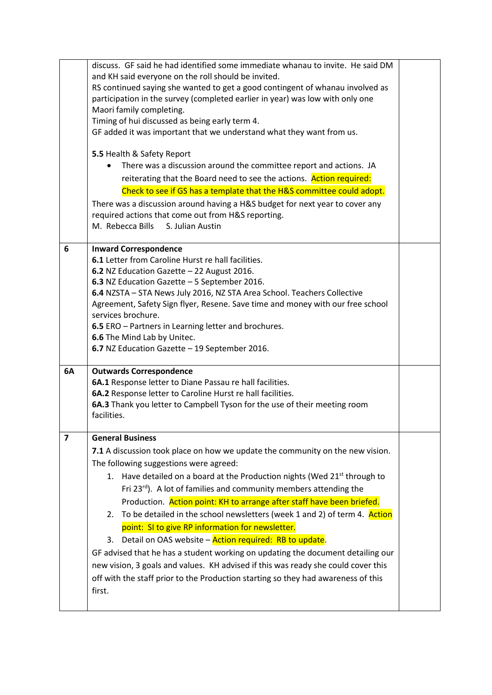|    | discuss. GF said he had identified some immediate whanau to invite. He said DM        |  |
|----|---------------------------------------------------------------------------------------|--|
|    | and KH said everyone on the roll should be invited.                                   |  |
|    | RS continued saying she wanted to get a good contingent of whanau involved as         |  |
|    | participation in the survey (completed earlier in year) was low with only one         |  |
|    | Maori family completing.                                                              |  |
|    | Timing of hui discussed as being early term 4.                                        |  |
|    | GF added it was important that we understand what they want from us.                  |  |
|    |                                                                                       |  |
|    | 5.5 Health & Safety Report                                                            |  |
|    | There was a discussion around the committee report and actions. JA                    |  |
|    | reiterating that the Board need to see the actions. Action required:                  |  |
|    | Check to see if GS has a template that the H&S committee could adopt.                 |  |
|    | There was a discussion around having a H&S budget for next year to cover any          |  |
|    | required actions that come out from H&S reporting.                                    |  |
|    | M. Rebecca Bills<br>S. Julian Austin                                                  |  |
| 6  | <b>Inward Correspondence</b>                                                          |  |
|    | 6.1 Letter from Caroline Hurst re hall facilities.                                    |  |
|    | 6.2 NZ Education Gazette - 22 August 2016.                                            |  |
|    | 6.3 NZ Education Gazette - 5 September 2016.                                          |  |
|    | 6.4 NZSTA - STA News July 2016, NZ STA Area School. Teachers Collective               |  |
|    | Agreement, Safety Sign flyer, Resene. Save time and money with our free school        |  |
|    | services brochure.                                                                    |  |
|    | 6.5 ERO - Partners in Learning letter and brochures.                                  |  |
|    | 6.6 The Mind Lab by Unitec.                                                           |  |
|    | 6.7 NZ Education Gazette - 19 September 2016.                                         |  |
| 6A | <b>Outwards Correspondence</b>                                                        |  |
|    | 6A.1 Response letter to Diane Passau re hall facilities.                              |  |
|    | 6A.2 Response letter to Caroline Hurst re hall facilities.                            |  |
|    | 6A.3 Thank you letter to Campbell Tyson for the use of their meeting room             |  |
|    | facilities.                                                                           |  |
| 7  | <b>General Business</b>                                                               |  |
|    | 7.1 A discussion took place on how we update the community on the new vision.         |  |
|    | The following suggestions were agreed:                                                |  |
|    | 1. Have detailed on a board at the Production nights (Wed 21 <sup>st</sup> through to |  |
|    | Fri 23 <sup>rd</sup> ). A lot of families and community members attending the         |  |
|    | Production. Action point: KH to arrange after staff have been briefed.                |  |
|    | To be detailed in the school newsletters (week 1 and 2) of term 4. Action<br>2.       |  |
|    | point: SI to give RP information for newsletter.                                      |  |
|    | Detail on OAS website - Action required: RB to update.<br>3.                          |  |
|    | GF advised that he has a student working on updating the document detailing our       |  |
|    |                                                                                       |  |
|    | new vision, 3 goals and values. KH advised if this was ready she could cover this     |  |
|    | off with the staff prior to the Production starting so they had awareness of this     |  |
|    | first.                                                                                |  |
|    |                                                                                       |  |